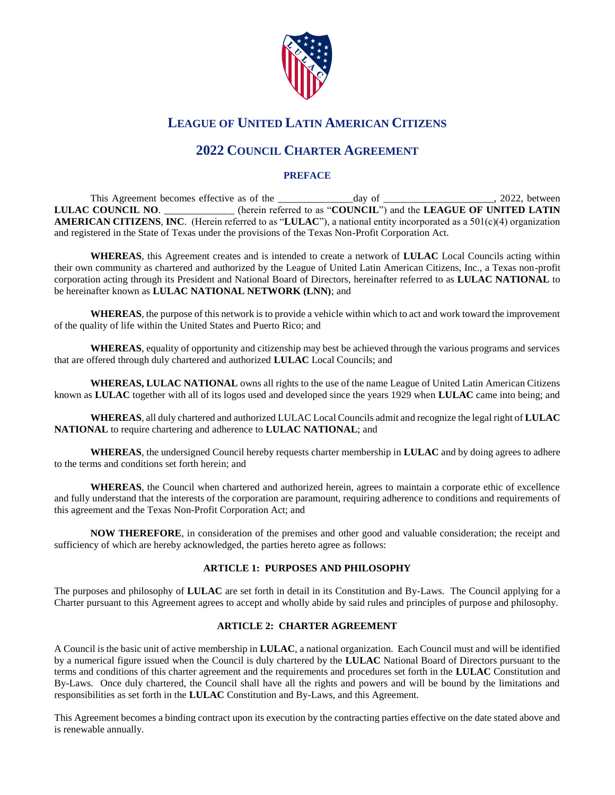

# **LEAGUE OF UNITED LATIN AMERICAN CITIZENS**

## **2022 COUNCIL CHARTER AGREEMENT**

### **PREFACE**

This Agreement becomes effective as of the \_\_\_\_\_\_\_\_\_\_\_\_\_\_\_day of \_\_\_\_\_\_\_\_\_\_\_\_\_\_\_\_\_\_\_\_\_\_, 2022, between **LULAC COUNCIL NO**. \_\_\_\_\_\_\_\_\_\_\_\_\_\_ (herein referred to as "**COUNCIL**") and the **LEAGUE OF UNITED LATIN AMERICAN CITIZENS**, **INC**. (Herein referred to as "**LULAC**"), a national entity incorporated as a 501(c)(4) organization and registered in the State of Texas under the provisions of the Texas Non-Profit Corporation Act.

**WHEREAS**, this Agreement creates and is intended to create a network of **LULAC** Local Councils acting within their own community as chartered and authorized by the League of United Latin American Citizens, Inc., a Texas non-profit corporation acting through its President and National Board of Directors, hereinafter referred to as **LULAC NATIONAL** to be hereinafter known as **LULAC NATIONAL NETWORK (LNN)**; and

**WHEREAS**, the purpose of this network is to provide a vehicle within which to act and work toward the improvement of the quality of life within the United States and Puerto Rico; and

**WHEREAS**, equality of opportunity and citizenship may best be achieved through the various programs and services that are offered through duly chartered and authorized **LULAC** Local Councils; and

**WHEREAS, LULAC NATIONAL** owns all rights to the use of the name League of United Latin American Citizens known as **LULAC** together with all of its logos used and developed since the years 1929 when **LULAC** came into being; and

**WHEREAS**, all duly chartered and authorized LULAC Local Councils admit and recognize the legal right of **LULAC NATIONAL** to require chartering and adherence to **LULAC NATIONAL**; and

**WHEREAS**, the undersigned Council hereby requests charter membership in **LULAC** and by doing agrees to adhere to the terms and conditions set forth herein; and

**WHEREAS**, the Council when chartered and authorized herein, agrees to maintain a corporate ethic of excellence and fully understand that the interests of the corporation are paramount, requiring adherence to conditions and requirements of this agreement and the Texas Non-Profit Corporation Act; and

**NOW THEREFORE**, in consideration of the premises and other good and valuable consideration; the receipt and sufficiency of which are hereby acknowledged, the parties hereto agree as follows:

### **ARTICLE 1: PURPOSES AND PHILOSOPHY**

The purposes and philosophy of **LULAC** are set forth in detail in its Constitution and By-Laws. The Council applying for a Charter pursuant to this Agreement agrees to accept and wholly abide by said rules and principles of purpose and philosophy.

### **ARTICLE 2: CHARTER AGREEMENT**

A Council is the basic unit of active membership in **LULAC**, a national organization. Each Council must and will be identified by a numerical figure issued when the Council is duly chartered by the **LULAC** National Board of Directors pursuant to the terms and conditions of this charter agreement and the requirements and procedures set forth in the **LULAC** Constitution and By-Laws. Once duly chartered, the Council shall have all the rights and powers and will be bound by the limitations and responsibilities as set forth in the **LULAC** Constitution and By-Laws, and this Agreement.

This Agreement becomes a binding contract upon its execution by the contracting parties effective on the date stated above and is renewable annually.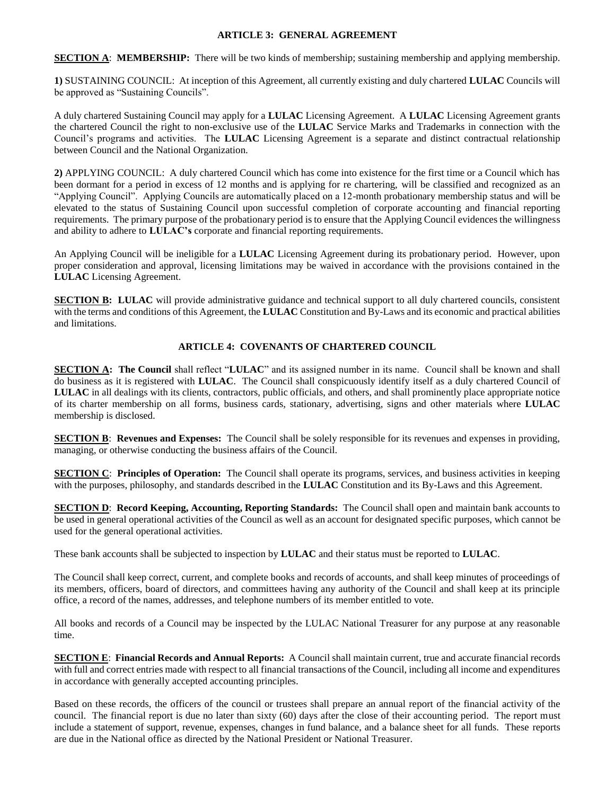#### **ARTICLE 3: GENERAL AGREEMENT**

**SECTION A**: **MEMBERSHIP:** There will be two kinds of membership; sustaining membership and applying membership.

**1)** SUSTAINING COUNCIL: At inception of this Agreement, all currently existing and duly chartered **LULAC** Councils will be approved as "Sustaining Councils".

A duly chartered Sustaining Council may apply for a **LULAC** Licensing Agreement. A **LULAC** Licensing Agreement grants the chartered Council the right to non-exclusive use of the **LULAC** Service Marks and Trademarks in connection with the Council's programs and activities. The **LULAC** Licensing Agreement is a separate and distinct contractual relationship between Council and the National Organization.

**2)** APPLYING COUNCIL: A duly chartered Council which has come into existence for the first time or a Council which has been dormant for a period in excess of 12 months and is applying for re chartering, will be classified and recognized as an "Applying Council". Applying Councils are automatically placed on a 12-month probationary membership status and will be elevated to the status of Sustaining Council upon successful completion of corporate accounting and financial reporting requirements. The primary purpose of the probationary period is to ensure that the Applying Council evidences the willingness and ability to adhere to **LULAC's** corporate and financial reporting requirements.

An Applying Council will be ineligible for a **LULAC** Licensing Agreement during its probationary period. However, upon proper consideration and approval, licensing limitations may be waived in accordance with the provisions contained in the **LULAC** Licensing Agreement.

**SECTION B:** LULAC will provide administrative guidance and technical support to all duly chartered councils, consistent with the terms and conditions of this Agreement, the **LULAC** Constitution and By-Laws and its economic and practical abilities and limitations.

### **ARTICLE 4: COVENANTS OF CHARTERED COUNCIL**

**SECTION A:** The Council shall reflect "LULAC" and its assigned number in its name. Council shall be known and shall do business as it is registered with **LULAC**. The Council shall conspicuously identify itself as a duly chartered Council of **LULAC** in all dealings with its clients, contractors, public officials, and others, and shall prominently place appropriate notice of its charter membership on all forms, business cards, stationary, advertising, signs and other materials where **LULAC** membership is disclosed.

**SECTION B**: **Revenues and Expenses:** The Council shall be solely responsible for its revenues and expenses in providing, managing, or otherwise conducting the business affairs of the Council.

**SECTION C**: **Principles of Operation:** The Council shall operate its programs, services, and business activities in keeping with the purposes, philosophy, and standards described in the **LULAC** Constitution and its By-Laws and this Agreement.

**SECTION D**: **Record Keeping, Accounting, Reporting Standards:** The Council shall open and maintain bank accounts to be used in general operational activities of the Council as well as an account for designated specific purposes, which cannot be used for the general operational activities.

These bank accounts shall be subjected to inspection by **LULAC** and their status must be reported to **LULAC**.

The Council shall keep correct, current, and complete books and records of accounts, and shall keep minutes of proceedings of its members, officers, board of directors, and committees having any authority of the Council and shall keep at its principle office, a record of the names, addresses, and telephone numbers of its member entitled to vote.

All books and records of a Council may be inspected by the LULAC National Treasurer for any purpose at any reasonable time.

**SECTION E**: **Financial Records and Annual Reports:** A Council shall maintain current, true and accurate financial records with full and correct entries made with respect to all financial transactions of the Council, including all income and expenditures in accordance with generally accepted accounting principles.

Based on these records, the officers of the council or trustees shall prepare an annual report of the financial activity of the council. The financial report is due no later than sixty (60) days after the close of their accounting period. The report must include a statement of support, revenue, expenses, changes in fund balance, and a balance sheet for all funds. These reports are due in the National office as directed by the National President or National Treasurer.